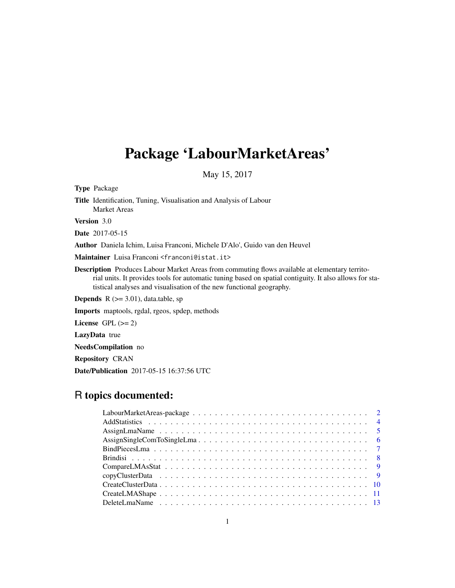# Package 'LabourMarketAreas'

May 15, 2017

Type Package Title Identification, Tuning, Visualisation and Analysis of Labour Market Areas Version 3.0 Date 2017-05-15 Author Daniela Ichim, Luisa Franconi, Michele D'Alo', Guido van den Heuvel Maintainer Luisa Franconi <franconi@istat.it> Description Produces Labour Market Areas from commuting flows available at elementary territorial units. It provides tools for automatic tuning based on spatial contiguity. It also allows for statistical analyses and visualisation of the new functional geography. **Depends**  $R$  ( $>=$  3.01), data.table, sp Imports maptools, rgdal, rgeos, spdep, methods License GPL  $(>= 2)$ LazyData true NeedsCompilation no Repository CRAN Date/Publication 2017-05-15 16:37:56 UTC

# R topics documented: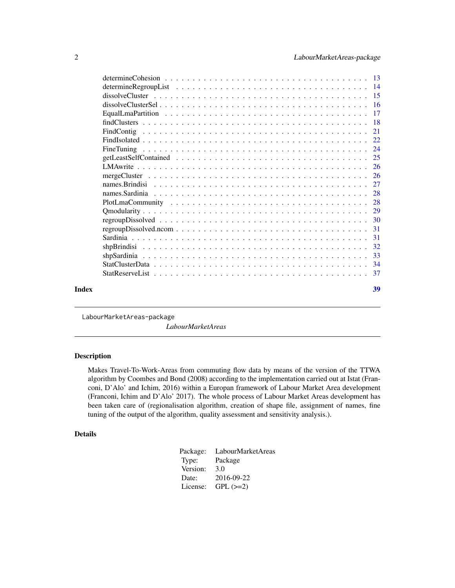<span id="page-1-0"></span>

| Index | 39 |
|-------|----|
|       |    |
|       |    |
|       |    |
|       |    |
|       |    |
|       |    |
|       |    |
|       |    |
|       |    |
|       |    |
|       |    |
|       |    |
|       |    |
|       |    |
|       |    |
|       |    |
|       |    |
|       |    |
|       |    |
|       |    |
|       |    |
|       |    |
|       |    |

LabourMarketAreas-package

*LabourMarketAreas*

# Description

Makes Travel-To-Work-Areas from commuting flow data by means of the version of the TTWA algorithm by Coombes and Bond (2008) according to the implementation carried out at Istat (Franconi, D'Alo' and Ichim, 2016) within a Europan framework of Labour Market Area development (Franconi, Ichim and D'Alo' 2017). The whole process of Labour Market Areas development has been taken care of (regionalisation algorithm, creation of shape file, assignment of names, fine tuning of the output of the algorithm, quality assessment and sensitivity analysis.).

# Details

| Package: | LabourMarketAreas |
|----------|-------------------|
| Type:    | Package           |
| Version: | 3.0               |
| Date:    | 2016-09-22        |
| License: | $GPL$ $(>=2)$     |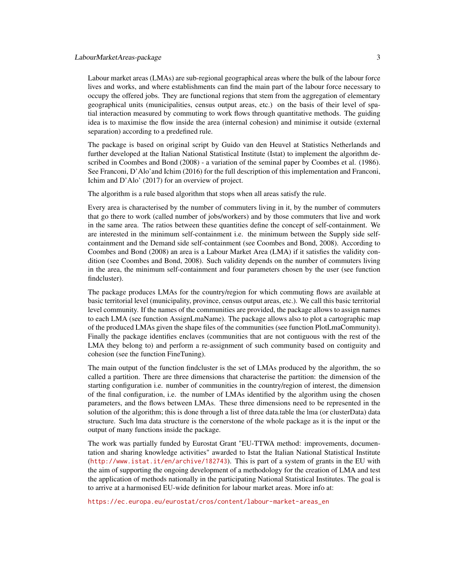# LabourMarketAreas-package 3

Labour market areas (LMAs) are sub-regional geographical areas where the bulk of the labour force lives and works, and where establishments can find the main part of the labour force necessary to occupy the offered jobs. They are functional regions that stem from the aggregation of elementary geographical units (municipalities, census output areas, etc.) on the basis of their level of spatial interaction measured by commuting to work flows through quantitative methods. The guiding idea is to maximise the flow inside the area (internal cohesion) and minimise it outside (external separation) according to a predefined rule.

The package is based on original script by Guido van den Heuvel at Statistics Netherlands and further developed at the Italian National Statistical Institute (Istat) to implement the algorithm described in Coombes and Bond (2008) - a variation of the seminal paper by Coombes et al. (1986). See Franconi, D'Alo'and Ichim (2016) for the full description of this implementation and Franconi, Ichim and D'Alo' (2017) for an overview of project.

The algorithm is a rule based algorithm that stops when all areas satisfy the rule.

Every area is characterised by the number of commuters living in it, by the number of commuters that go there to work (called number of jobs/workers) and by those commuters that live and work in the same area. The ratios between these quantities define the concept of self-containment. We are interested in the minimum self-containment i.e. the minimum between the Supply side selfcontainment and the Demand side self-containment (see Coombes and Bond, 2008). According to Coombes and Bond (2008) an area is a Labour Market Area (LMA) if it satisfies the validity condition (see Coombes and Bond, 2008). Such validity depends on the number of commuters living in the area, the minimum self-containment and four parameters chosen by the user (see function findcluster).

The package produces LMAs for the country/region for which commuting flows are available at basic territorial level (municipality, province, census output areas, etc.). We call this basic territorial level community. If the names of the communities are provided, the package allows to assign names to each LMA (see function AssignLmaName). The package allows also to plot a cartographic map of the produced LMAs given the shape files of the communities (see function PlotLmaCommunity). Finally the package identifies enclaves (communities that are not contiguous with the rest of the LMA they belong to) and perform a re-assignment of such community based on contiguity and cohesion (see the function FineTuning).

The main output of the function findcluster is the set of LMAs produced by the algorithm, the so called a partition. There are three dimensions that characterise the partition: the dimension of the starting configuration i.e. number of communities in the country/region of interest, the dimension of the final configuration, i.e. the number of LMAs identified by the algorithm using the chosen parameters, and the flows between LMAs. These three dimensions need to be represented in the solution of the algorithm; this is done through a list of three data.table the lma (or clusterData) data structure. Such lma data structure is the cornerstone of the whole package as it is the input or the output of many functions inside the package.

The work was partially funded by Eurostat Grant "EU-TTWA method: improvements, documentation and sharing knowledge activities" awarded to Istat the Italian National Statistical Institute (<http://www.istat.it/en/archive/182743>). This is part of a system of grants in the EU with the aim of supporting the ongoing development of a methodology for the creation of LMA and test the application of methods nationally in the participating National Statistical Institutes. The goal is to arrive at a harmonised EU-wide definition for labour market areas. More info at:

[https://ec.europa.eu/eurostat/cros/content/labour-market-areas\\_en](https://ec.europa.eu/eurostat/cros/content/labour-market-areas_en)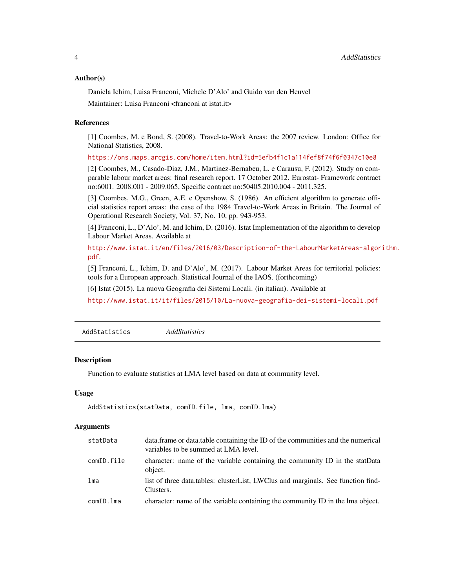#### <span id="page-3-0"></span>Author(s)

Daniela Ichim, Luisa Franconi, Michele D'Alo' and Guido van den Heuvel Maintainer: Luisa Franconi <franconi at istat.it>

#### References

[1] Coombes, M. e Bond, S. (2008). Travel-to-Work Areas: the 2007 review. London: Office for National Statistics, 2008.

<https://ons.maps.arcgis.com/home/item.html?id=5efb4f1c1a114fef8f74f6f0347c10e8>

[2] Coombes, M., Casado-Diaz, J.M., Martinez-Bernabeu, L. e Carausu, F. (2012). Study on comparable labour market areas: final research report. 17 October 2012. Eurostat- Framework contract no:6001. 2008.001 - 2009.065, Specific contract no:50405.2010.004 - 2011.325.

[3] Coombes, M.G., Green, A.E. e Openshow, S. (1986). An efficient algorithm to generate official statistics report areas: the case of the 1984 Travel-to-Work Areas in Britain. The Journal of Operational Research Society, Vol. 37, No. 10, pp. 943-953.

[4] Franconi, L., D'Alo', M. and Ichim, D. (2016). Istat Implementation of the algorithm to develop Labour Market Areas. Available at

[http://www.istat.it/en/files/2016/03/Description-of-the-LabourMarketAreas-algor](http://www.istat.it/en/files/2016/03/Description-of-the-LabourMarketAreas-algorithm.pdf)ithm. [pdf](http://www.istat.it/en/files/2016/03/Description-of-the-LabourMarketAreas-algorithm.pdf).

[5] Franconi, L., Ichim, D. and D'Alo', M. (2017). Labour Market Areas for territorial policies: tools for a European approach. Statistical Journal of the IAOS. (forthcoming)

[6] Istat (2015). La nuova Geografia dei Sistemi Locali. (in italian). Available at

<http://www.istat.it/it/files/2015/10/La-nuova-geografia-dei-sistemi-locali.pdf>

AddStatistics *AddStatistics*

# **Description**

Function to evaluate statistics at LMA level based on data at community level.

#### Usage

```
AddStatistics(statData, comID.file, lma, comID.lma)
```
# Arguments

| statData   | data.frame or data.table containing the ID of the communities and the numerical<br>variables to be summed at LMA level. |
|------------|-------------------------------------------------------------------------------------------------------------------------|
| comID.file | character: name of the variable containing the community ID in the statData<br>object.                                  |
| lma        | list of three data.tables: clusterList, LWClus and marginals. See function find-<br>Clusters.                           |
| comID.lma  | character: name of the variable containing the community ID in the lma object.                                          |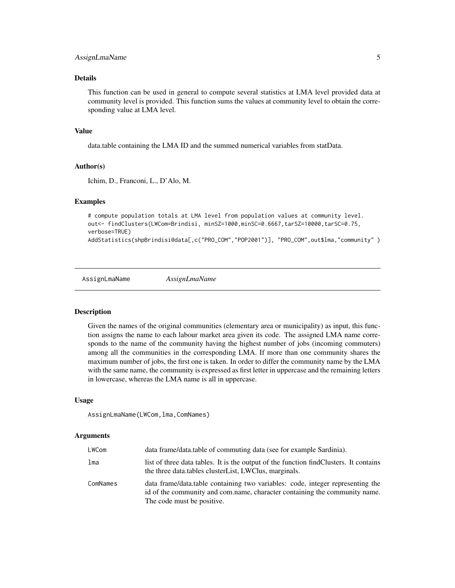# <span id="page-4-0"></span>AssignLmaName 5

# Details

This function can be used in general to compute several statistics at LMA level provided data at community level is provided. This function sums the values at community level to obtain the corresponding value at LMA level.

#### Value

data.table containing the LMA ID and the summed numerical variables from statData.

#### Author(s)

Ichim, D., Franconi, L., D'Alo, M.

#### Examples

```
# compute population totals at LMA level from population values at community level.
out<- findClusters(LWCom=Brindisi, minSZ=1000,minSC=0.6667,tarSZ=10000,tarSC=0.75,
verbose=TRUE)
AddStatistics(shpBrindisi@data[,c("PRO_COM","POP2001")], "PRO_COM",out$lma,"community" )
```
AssignLmaName *AssignLmaName*

#### **Description**

Given the names of the original communities (elementary area or municipality) as input, this function assigns the name to each labour market area given its code. The assigned LMA name corresponds to the name of the community having the highest number of jobs (incoming commuters) among all the communities in the corresponding LMA. If more than one community shares the maximum number of jobs, the first one is taken. In order to differ the community name by the LMA with the same name, the community is expressed as first letter in uppercase and the remaining letters in lowercase, whereas the LMA name is all in uppercase.

#### Usage

AssignLmaName(LWCom,lma,ComNames)

#### Arguments

| LWCom    | data frame/data.table of commuting data (see for example Sardinia).                                                                                                                        |
|----------|--------------------------------------------------------------------------------------------------------------------------------------------------------------------------------------------|
| lma      | list of three data tables. It is the output of the function find Clusters. It contains<br>the three data.tables cluster List, LWClus, marginals.                                           |
| ComNames | data frame/data.table containing two variables: code, integer representing the<br>id of the community and com.name, character containing the community name.<br>The code must be positive. |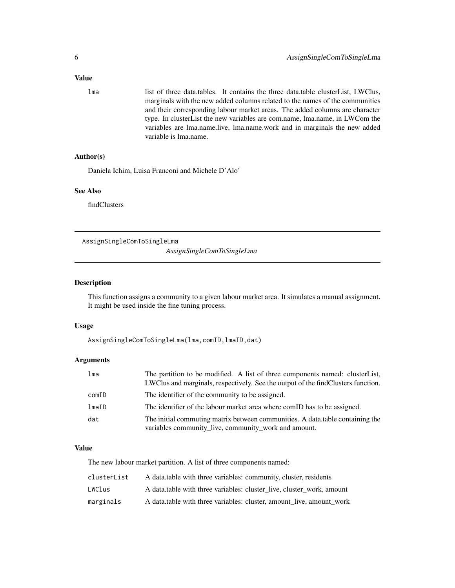# <span id="page-5-0"></span>Value

lma list of three data.tables. It contains the three data.table clusterList, LWClus, marginals with the new added columns related to the names of the communities and their corresponding labour market areas. The added columns are character type. In clusterList the new variables are com.name, lma.name, in LWCom the variables are lma.name.live, lma.name.work and in marginals the new added variable is lma.name.

#### Author(s)

Daniela Ichim, Luisa Franconi and Michele D'Alo'

# See Also

findClusters

AssignSingleComToSingleLma

*AssignSingleComToSingleLma*

# Description

This function assigns a community to a given labour market area. It simulates a manual assignment. It might be used inside the fine tuning process.

#### Usage

AssignSingleComToSingleLma(lma,comID,lmaID,dat)

#### **Arguments**

| lma   | The partition to be modified. A list of three components named: clusterList,<br>LWClus and marginals, respectively. See the output of the findClusters function. |
|-------|------------------------------------------------------------------------------------------------------------------------------------------------------------------|
| comID | The identifier of the community to be assigned.                                                                                                                  |
| lmaID | The identifier of the labour market area where comID has to be assigned.                                                                                         |
| dat   | The initial commuting matrix between communities. A data table containing the<br>variables community_live, community_work and amount.                            |

#### Value

The new labour market partition. A list of three components named:

| clusterList | A data table with three variables: community, cluster, residents      |
|-------------|-----------------------------------------------------------------------|
| LWClus      | A data table with three variables: cluster live, cluster work, amount |
| marginals   | A data table with three variables: cluster, amount live, amount work  |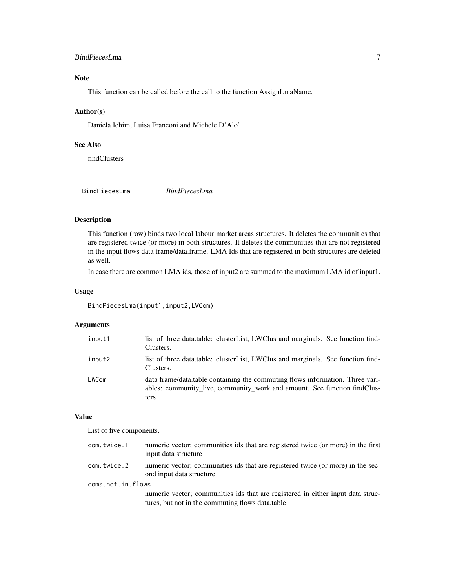## <span id="page-6-0"></span>BindPiecesLma 7

# Note

This function can be called before the call to the function AssignLmaName.

#### Author(s)

Daniela Ichim, Luisa Franconi and Michele D'Alo'

# See Also

findClusters

BindPiecesLma *BindPiecesLma*

# Description

This function (row) binds two local labour market areas structures. It deletes the communities that are registered twice (or more) in both structures. It deletes the communities that are not registered in the input flows data frame/data.frame. LMA Ids that are registered in both structures are deleted as well.

In case there are common LMA ids, those of input2 are summed to the maximum LMA id of input1.

#### Usage

BindPiecesLma(input1,input2,LWCom)

# Arguments

| input1 | list of three data.table: clusterList, LWClus and marginals. See function find-<br>Clusters.                                                                       |
|--------|--------------------------------------------------------------------------------------------------------------------------------------------------------------------|
| input2 | list of three data.table: clusterList, LWClus and marginals. See function find-<br>Clusters.                                                                       |
| LWCom  | data frame/data.table containing the commuting flows information. Three vari-<br>ables: community_live, community_work and amount. See function findClus-<br>ters. |

# Value

List of five components.

| com.twice.1       | numeric vector; communities ids that are registered twice (or more) in the first<br>input data structure                            |
|-------------------|-------------------------------------------------------------------------------------------------------------------------------------|
| com.twice.2       | numeric vector; communities ids that are registered twice (or more) in the sec-<br>ond input data structure                         |
| coms.not.in.flows |                                                                                                                                     |
|                   | numeric vector; communities ids that are registered in either input data struc-<br>tures, but not in the commuting flows data.table |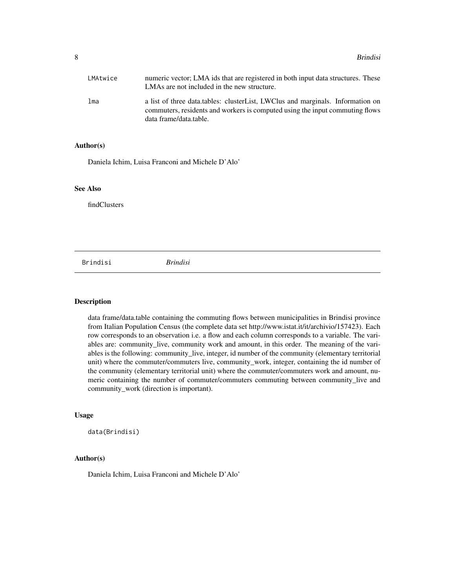<span id="page-7-0"></span>

| LMAtwice | numeric vector; LMA ids that are registered in both input data structures. These<br>LMAs are not included in the new structure.                                                          |
|----------|------------------------------------------------------------------------------------------------------------------------------------------------------------------------------------------|
| lma      | a list of three data.tables: clusterList, LWClus and marginals. Information on<br>commuters, residents and workers is computed using the input commuting flows<br>data frame/data.table. |

#### Author(s)

Daniela Ichim, Luisa Franconi and Michele D'Alo'

# See Also

findClusters

Brindisi *Brindisi*

#### Description

data frame/data.table containing the commuting flows between municipalities in Brindisi province from Italian Population Census (the complete data set http://www.istat.it/it/archivio/157423). Each row corresponds to an observation i.e. a flow and each column corresponds to a variable. The variables are: community\_live, community work and amount, in this order. The meaning of the variables is the following: community\_live, integer, id number of the community (elementary territorial unit) where the commuter/commuters live, community\_work, integer, containing the id number of the community (elementary territorial unit) where the commuter/commuters work and amount, numeric containing the number of commuter/commuters commuting between community\_live and community\_work (direction is important).

#### Usage

data(Brindisi)

#### Author(s)

Daniela Ichim, Luisa Franconi and Michele D'Alo'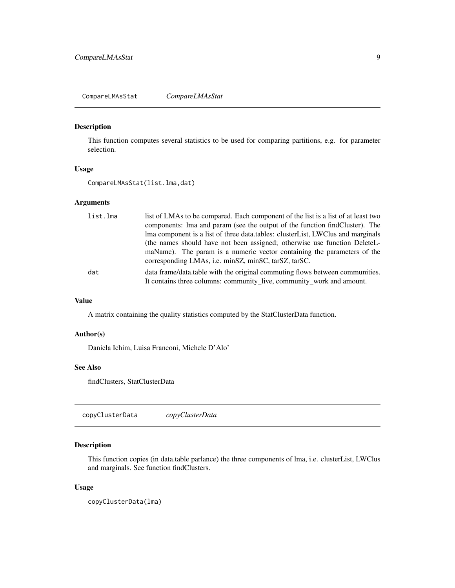<span id="page-8-0"></span>CompareLMAsStat *CompareLMAsStat*

# Description

This function computes several statistics to be used for comparing partitions, e.g. for parameter selection.

# Usage

CompareLMAsStat(list.lma,dat)

# Arguments

| list.lma | list of LMAs to be compared. Each component of the list is a list of at least two                                                                     |
|----------|-------------------------------------------------------------------------------------------------------------------------------------------------------|
|          | components: Ima and param (see the output of the function findCluster). The                                                                           |
|          | lma component is a list of three data.tables: clusterList, LWClus and marginals                                                                       |
|          | (the names should have not been assigned; otherwise use function DeleteL-                                                                             |
|          | maName). The param is a numeric vector containing the parameters of the<br>corresponding LMAs, <i>i.e.</i> minSZ, minSC, tarSZ, tarSC.                |
| dat      | data frame/data.table with the original commuting flows between communities.<br>It contains three columns: community_live, community_work and amount. |

#### Value

A matrix containing the quality statistics computed by the StatClusterData function.

# Author(s)

Daniela Ichim, Luisa Franconi, Michele D'Alo'

# See Also

findClusters, StatClusterData

copyClusterData *copyClusterData*

# Description

This function copies (in data.table parlance) the three components of lma, i.e. clusterList, LWClus and marginals. See function findClusters.

#### Usage

copyClusterData(lma)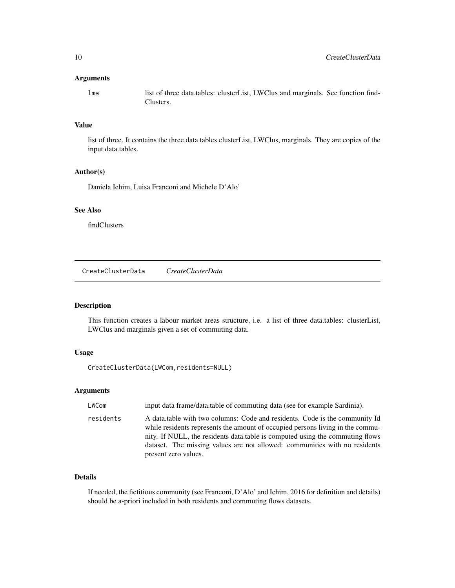#### <span id="page-9-0"></span>Arguments

lma list of three data.tables: clusterList, LWClus and marginals. See function find-Clusters.

#### Value

list of three. It contains the three data tables clusterList, LWClus, marginals. They are copies of the input data.tables.

#### Author(s)

Daniela Ichim, Luisa Franconi and Michele D'Alo'

#### See Also

findClusters

CreateClusterData *CreateClusterData*

# Description

This function creates a labour market areas structure, i.e. a list of three data.tables: clusterList, LWClus and marginals given a set of commuting data.

# Usage

CreateClusterData(LWCom,residents=NULL)

# Arguments

| LWCom     | input data frame/data.table of commuting data (see for example Sardinia).                                                                                                                                                                                                                                                                            |
|-----------|------------------------------------------------------------------------------------------------------------------------------------------------------------------------------------------------------------------------------------------------------------------------------------------------------------------------------------------------------|
| residents | A data table with two columns: Code and residents. Code is the community Id<br>while residents represents the amount of occupied persons living in the commu-<br>nity. If NULL, the residents data table is computed using the commuting flows<br>dataset. The missing values are not allowed: communities with no residents<br>present zero values. |

# Details

If needed, the fictitious community (see Franconi, D'Alo' and Ichim, 2016 for definition and details) should be a-priori included in both residents and commuting flows datasets.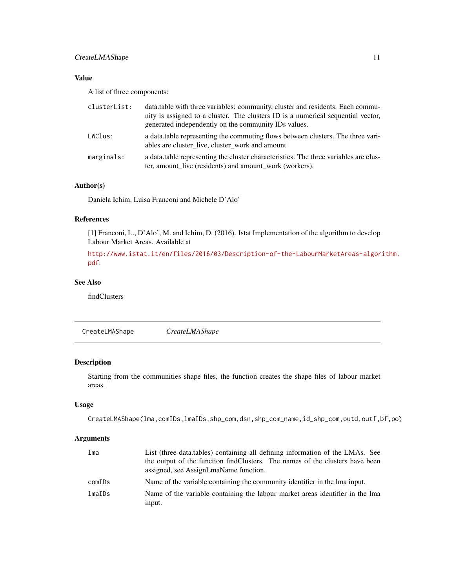# <span id="page-10-0"></span>CreateLMAShape 11

# Value

A list of three components:

| clusterList: | data.table with three variables: community, cluster and residents. Each commu-<br>nity is assigned to a cluster. The clusters ID is a numerical sequential vector,<br>generated independently on the community IDs values. |
|--------------|----------------------------------------------------------------------------------------------------------------------------------------------------------------------------------------------------------------------------|
| LWClus:      | a data table representing the commuting flows between clusters. The three vari-<br>ables are cluster live, cluster work and amount                                                                                         |
| marginals:   | a data table representing the cluster characteristics. The three variables are clus-<br>ter, amount live (residents) and amount work (workers).                                                                            |

#### Author(s)

Daniela Ichim, Luisa Franconi and Michele D'Alo'

#### References

[1] Franconi, L., D'Alo', M. and Ichim, D. (2016). Istat Implementation of the algorithm to develop Labour Market Areas. Available at

[http://www.istat.it/en/files/2016/03/Description-of-the-LabourMarketAreas-algor](http://www.istat.it/en/files/2016/03/Description-of-the-LabourMarketAreas-algorithm.pdf)ithm. [pdf](http://www.istat.it/en/files/2016/03/Description-of-the-LabourMarketAreas-algorithm.pdf).

#### See Also

findClusters

CreateLMAShape *CreateLMAShape*

# Description

Starting from the communities shape files, the function creates the shape files of labour market areas.

# Usage

CreateLMAShape(lma,comIDs,lmaIDs,shp\_com,dsn,shp\_com\_name,id\_shp\_com,outd,outf,bf,po)

#### Arguments

| lma    | List (three data.tables) containing all defining information of the LMAs. See                                          |
|--------|------------------------------------------------------------------------------------------------------------------------|
|        | the output of the function find Clusters. The names of the clusters have been<br>assigned, see AssignLmaName function. |
| comIDs | Name of the variable containing the community identifier in the lma input.                                             |
| lmaIDs | Name of the variable containing the labour market areas identifier in the lma<br>input.                                |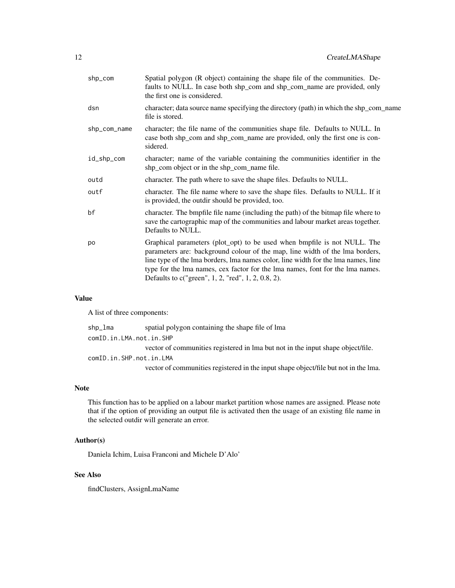| shp_com      | Spatial polygon (R object) containing the shape file of the communities. De-<br>faults to NULL. In case both shp_com and shp_com_name are provided, only<br>the first one is considered.                                                                                                                                                                                             |
|--------------|--------------------------------------------------------------------------------------------------------------------------------------------------------------------------------------------------------------------------------------------------------------------------------------------------------------------------------------------------------------------------------------|
| dsn          | character; data source name specifying the directory (path) in which the shp_com_name<br>file is stored.                                                                                                                                                                                                                                                                             |
| shp_com_name | character; the file name of the communities shape file. Defaults to NULL. In<br>case both shp_com and shp_com_name are provided, only the first one is con-<br>sidered.                                                                                                                                                                                                              |
| id_shp_com   | character; name of the variable containing the communities identifier in the<br>shp_com object or in the shp_com_name file.                                                                                                                                                                                                                                                          |
| outd         | character. The path where to save the shape files. Defaults to NULL.                                                                                                                                                                                                                                                                                                                 |
| outf         | character. The file name where to save the shape files. Defaults to NULL. If it<br>is provided, the outdir should be provided, too.                                                                                                                                                                                                                                                  |
| bf           | character. The bmpfile file name (including the path) of the bitmap file where to<br>save the cartographic map of the communities and labour market areas together.<br>Defaults to NULL.                                                                                                                                                                                             |
| po           | Graphical parameters (plot_opt) to be used when bmpfile is not NULL. The<br>parameters are: background colour of the map, line width of the lma borders,<br>line type of the lma borders, lma names color, line width for the lma names, line<br>type for the lma names, cex factor for the lma names, font for the lma names.<br>Defaults to c("green", 1, 2, "red", 1, 2, 0.8, 2). |
|              |                                                                                                                                                                                                                                                                                                                                                                                      |

# Value

A list of three components:

| shp_lma                 | spatial polygon containing the shape file of lma                                                                                                                                                                                                                                           |
|-------------------------|--------------------------------------------------------------------------------------------------------------------------------------------------------------------------------------------------------------------------------------------------------------------------------------------|
| comID.in.LMA.not.in.SHP |                                                                                                                                                                                                                                                                                            |
|                         | vector of communities registered in lma but not in the input shape object/file.                                                                                                                                                                                                            |
| comID.in.SHP.not.in.LMA |                                                                                                                                                                                                                                                                                            |
|                         | $\sim$ 0 $\sim$ 1 1 1 $\sim$ 1 $\sim$ 1 $\sim$ 1 $\sim$ 1 $\sim$ 1 $\sim$ 1 $\sim$ 1 $\sim$ 1 $\sim$ 1 $\sim$ 1 $\sim$ 1 $\sim$ 1 $\sim$ 1 $\sim$ 1 $\sim$ 1 $\sim$ 1 $\sim$ 1 $\sim$ 1 $\sim$ 1 $\sim$ 1 $\sim$ 1 $\sim$ 1 $\sim$ 1 $\sim$ 1 $\sim$ 1 $\sim$ 1 $\sim$ 1 $\sim$ 1 $\sim$ 1 |

vector of communities registered in the input shape object/file but not in the lma.

# Note

This function has to be applied on a labour market partition whose names are assigned. Please note that if the option of providing an output file is activated then the usage of an existing file name in the selected outdir will generate an error.

# Author(s)

Daniela Ichim, Luisa Franconi and Michele D'Alo'

# See Also

findClusters, AssignLmaName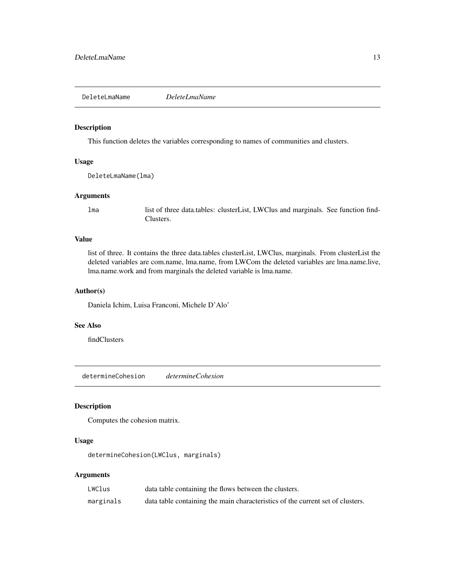<span id="page-12-0"></span>DeleteLmaName *DeleteLmaName*

## Description

This function deletes the variables corresponding to names of communities and clusters.

#### Usage

```
DeleteLmaName(lma)
```
# Arguments

lma list of three data.tables: clusterList, LWClus and marginals. See function find-Clusters.

#### Value

list of three. It contains the three data.tables clusterList, LWClus, marginals. From clusterList the deleted variables are com.name, lma.name, from LWCom the deleted variables are lma.name.live, lma.name.work and from marginals the deleted variable is lma.name.

# Author(s)

Daniela Ichim, Luisa Franconi, Michele D'Alo'

#### See Also

findClusters

determineCohesion *determineCohesion*

# Description

Computes the cohesion matrix.

# Usage

determineCohesion(LWClus, marginals)

# Arguments

| LWClus    | data table containing the flows between the clusters.                          |
|-----------|--------------------------------------------------------------------------------|
| marginals | data table containing the main characteristics of the current set of clusters. |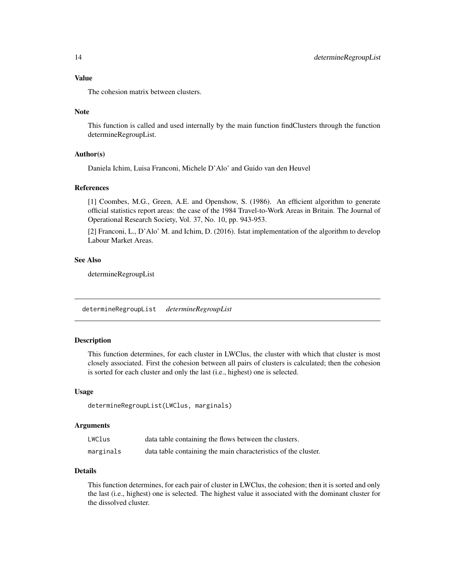# <span id="page-13-0"></span>Value

The cohesion matrix between clusters.

#### Note

This function is called and used internally by the main function findClusters through the function determineRegroupList.

#### Author(s)

Daniela Ichim, Luisa Franconi, Michele D'Alo' and Guido van den Heuvel

#### References

[1] Coombes, M.G., Green, A.E. and Openshow, S. (1986). An efficient algorithm to generate official statistics report areas: the case of the 1984 Travel-to-Work Areas in Britain. The Journal of Operational Research Society, Vol. 37, No. 10, pp. 943-953.

[2] Franconi, L., D'Alo' M. and Ichim, D. (2016). Istat implementation of the algorithm to develop Labour Market Areas.

#### See Also

determineRegroupList

determineRegroupList *determineRegroupList*

## Description

This function determines, for each cluster in LWClus, the cluster with which that cluster is most closely associated. First the cohesion between all pairs of clusters is calculated; then the cohesion is sorted for each cluster and only the last (i.e., highest) one is selected.

# Usage

determineRegroupList(LWClus, marginals)

#### Arguments

| LWClus    | data table containing the flows between the clusters.          |
|-----------|----------------------------------------------------------------|
| marginals | data table containing the main characteristics of the cluster. |

# Details

This function determines, for each pair of cluster in LWClus, the cohesion; then it is sorted and only the last (i.e., highest) one is selected. The highest value it associated with the dominant cluster for the dissolved cluster.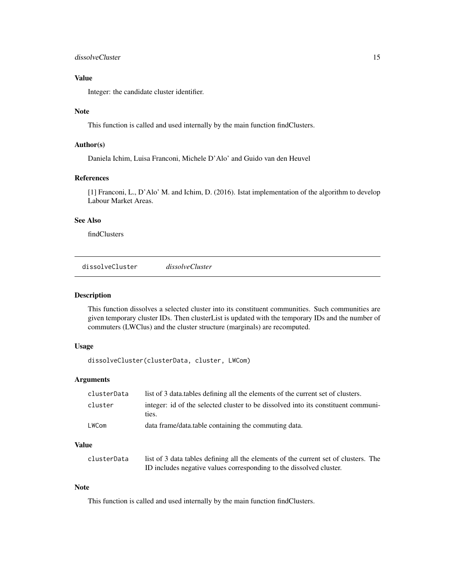# <span id="page-14-0"></span>dissolveCluster 15

# Value

Integer: the candidate cluster identifier.

#### Note

This function is called and used internally by the main function findClusters.

# Author(s)

Daniela Ichim, Luisa Franconi, Michele D'Alo' and Guido van den Heuvel

#### References

[1] Franconi, L., D'Alo' M. and Ichim, D. (2016). Istat implementation of the algorithm to develop Labour Market Areas.

#### See Also

findClusters

dissolveCluster *dissolveCluster*

#### Description

This function dissolves a selected cluster into its constituent communities. Such communities are given temporary cluster IDs. Then clusterList is updated with the temporary IDs and the number of commuters (LWClus) and the cluster structure (marginals) are recomputed.

# Usage

dissolveCluster(clusterData, cluster, LWCom)

# Arguments

| clusterData | list of 3 data tables defining all the elements of the current set of clusters.            |
|-------------|--------------------------------------------------------------------------------------------|
| cluster     | integer: id of the selected cluster to be dissolved into its constituent communi-<br>ties. |
| LWCom       | data frame/data.table containing the commuting data.                                       |

# Value

| clusterData | list of 3 data tables defining all the elements of the current set of clusters. The |  |
|-------------|-------------------------------------------------------------------------------------|--|
|             | ID includes negative values corresponding to the dissolved cluster.                 |  |

# Note

This function is called and used internally by the main function findClusters.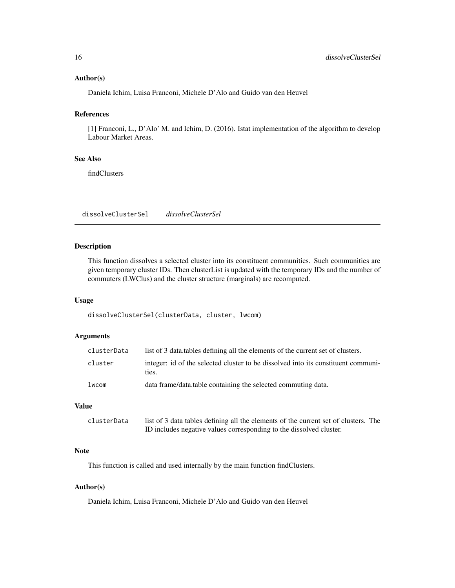#### <span id="page-15-0"></span>Author(s)

Daniela Ichim, Luisa Franconi, Michele D'Alo and Guido van den Heuvel

# References

[1] Franconi, L., D'Alo' M. and Ichim, D. (2016). Istat implementation of the algorithm to develop Labour Market Areas.

# See Also

findClusters

dissolveClusterSel *dissolveClusterSel*

# Description

This function dissolves a selected cluster into its constituent communities. Such communities are given temporary cluster IDs. Then clusterList is updated with the temporary IDs and the number of commuters (LWClus) and the cluster structure (marginals) are recomputed.

#### Usage

dissolveClusterSel(clusterData, cluster, lwcom)

# Arguments

| clusterData | list of 3 data tables defining all the elements of the current set of clusters.            |
|-------------|--------------------------------------------------------------------------------------------|
| cluster     | integer: id of the selected cluster to be dissolved into its constituent communi-<br>ties. |
| lwcom       | data frame/data.table containing the selected commuting data.                              |

# Value

| clusterData | list of 3 data tables defining all the elements of the current set of clusters. The |  |
|-------------|-------------------------------------------------------------------------------------|--|
|             | ID includes negative values corresponding to the dissolved cluster.                 |  |

## Note

This function is called and used internally by the main function findClusters.

# Author(s)

Daniela Ichim, Luisa Franconi, Michele D'Alo and Guido van den Heuvel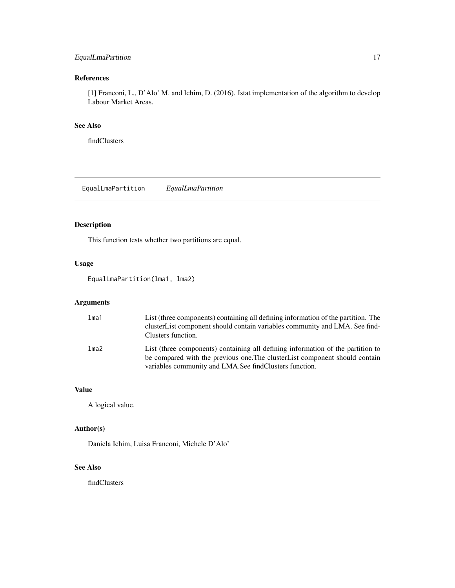# <span id="page-16-0"></span>EqualLmaPartition 17

# References

[1] Franconi, L., D'Alo' M. and Ichim, D. (2016). Istat implementation of the algorithm to develop Labour Market Areas.

# See Also

findClusters

EqualLmaPartition *EqualLmaPartition*

# Description

This function tests whether two partitions are equal.

# Usage

EqualLmaPartition(lma1, lma2)

# Arguments

| lma1 | List (three components) containing all defining information of the partition. The<br>cluster List component should contain variables community and LMA. See find-<br>Clusters function.                                   |
|------|---------------------------------------------------------------------------------------------------------------------------------------------------------------------------------------------------------------------------|
| lma2 | List (three components) containing all defining information of the partition to<br>be compared with the previous one. The cluster List component should contain<br>variables community and LMA.See findClusters function. |

#### Value

A logical value.

# Author(s)

Daniela Ichim, Luisa Franconi, Michele D'Alo'

# See Also

findClusters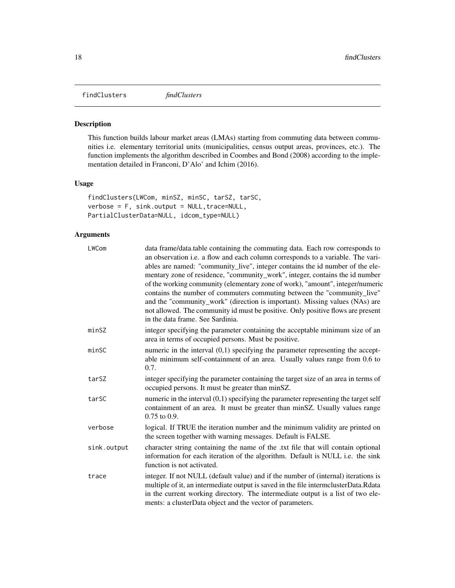<span id="page-17-0"></span>findClusters *findClusters*

#### Description

This function builds labour market areas (LMAs) starting from commuting data between communities i.e. elementary territorial units (municipalities, census output areas, provinces, etc.). The function implements the algorithm described in Coombes and Bond (2008) according to the implementation detailed in Franconi, D'Alo' and Ichim (2016).

#### Usage

```
findClusters(LWCom, minSZ, minSC, tarSZ, tarSC,
verbose = F, sink.output = NULL, trace=NULL,
PartialClusterData=NULL, idcom_type=NULL)
```
#### Arguments

| LWCom       | data frame/data.table containing the commuting data. Each row corresponds to<br>an observation i.e. a flow and each column corresponds to a variable. The vari-<br>ables are named: "community_live", integer contains the id number of the ele-<br>mentary zone of residence, "community_work", integer, contains the id number<br>of the working community (elementary zone of work), "amount", integer/numeric<br>contains the number of commuters commuting between the "community_live"<br>and the "community_work" (direction is important). Missing values (NAs) are<br>not allowed. The community id must be positive. Only positive flows are present<br>in the data frame. See Sardinia. |
|-------------|----------------------------------------------------------------------------------------------------------------------------------------------------------------------------------------------------------------------------------------------------------------------------------------------------------------------------------------------------------------------------------------------------------------------------------------------------------------------------------------------------------------------------------------------------------------------------------------------------------------------------------------------------------------------------------------------------|
| minSZ       | integer specifying the parameter containing the acceptable minimum size of an<br>area in terms of occupied persons. Must be positive.                                                                                                                                                                                                                                                                                                                                                                                                                                                                                                                                                              |
| minSC       | numeric in the interval $(0,1)$ specifying the parameter representing the accept-<br>able minimum self-containment of an area. Usually values range from 0.6 to<br>0.7.                                                                                                                                                                                                                                                                                                                                                                                                                                                                                                                            |
| tarSZ       | integer specifying the parameter containing the target size of an area in terms of<br>occupied persons. It must be greater than minSZ.                                                                                                                                                                                                                                                                                                                                                                                                                                                                                                                                                             |
| tarSC       | numeric in the interval $(0,1)$ specifying the parameter representing the target self<br>containment of an area. It must be greater than minSZ. Usually values range<br>$0.75$ to $0.9$ .                                                                                                                                                                                                                                                                                                                                                                                                                                                                                                          |
| verbose     | logical. If TRUE the iteration number and the minimum validity are printed on<br>the screen together with warning messages. Default is FALSE.                                                                                                                                                                                                                                                                                                                                                                                                                                                                                                                                                      |
| sink.output | character string containing the name of the .txt file that will contain optional<br>information for each iteration of the algorithm. Default is NULL i.e. the sink<br>function is not activated.                                                                                                                                                                                                                                                                                                                                                                                                                                                                                                   |
| trace       | integer. If not NULL (default value) and if the number of (internal) iterations is<br>multiple of it, an intermediate output is saved in the file intermclusterData.Rdata<br>in the current working directory. The intermediate output is a list of two ele-<br>ments: a clusterData object and the vector of parameters.                                                                                                                                                                                                                                                                                                                                                                          |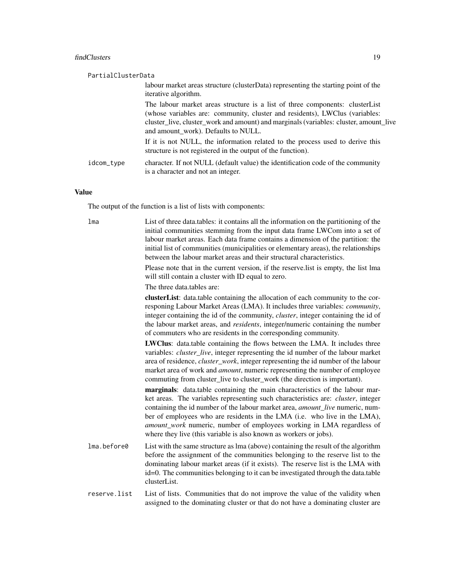#### findClusters 19

#### PartialClusterData

|            | labour market areas structure (clusterData) representing the starting point of the<br>iterative algorithm.                                                                                                                                                                                                                                                                   |
|------------|------------------------------------------------------------------------------------------------------------------------------------------------------------------------------------------------------------------------------------------------------------------------------------------------------------------------------------------------------------------------------|
|            | The labour market areas structure is a list of three components: clusterList<br>(whose variables are: community, cluster and residents), LWClus (variables:<br>cluster_live, cluster_work and amount) and marginals (variables: cluster, amount_live<br>and amount work). Defaults to NULL.<br>If it is not NULL, the information related to the process used to derive this |
|            | structure is not registered in the output of the function).                                                                                                                                                                                                                                                                                                                  |
| idcom_type | character. If not NULL (default value) the identification code of the community<br>is a character and not an integer.                                                                                                                                                                                                                                                        |

#### Value

The output of the function is a list of lists with components:

lma List of three data.tables: it contains all the information on the partitioning of the initial communities stemming from the input data frame LWCom into a set of labour market areas. Each data frame contains a dimension of the partition: the initial list of communities (municipalities or elementary areas), the relationships between the labour market areas and their structural characteristics.

> Please note that in the current version, if the reserve.list is empty, the list lma will still contain a cluster with ID equal to zero.

The three data.tables are:

clusterList: data.table containing the allocation of each community to the corresponing Labour Market Areas (LMA). It includes three variables: *community*, integer containing the id of the community, *cluster*, integer containing the id of the labour market areas, and *residents*, integer/numeric containing the number of commuters who are residents in the corresponding community.

LWClus: data.table containing the flows between the LMA. It includes three variables: *cluster live*, integer representing the id number of the labour market area of residence, *cluster\_work*, integer representing the id number of the labour market area of work and *amount*, numeric representing the number of employee commuting from cluster\_live to cluster\_work (the direction is important).

marginals: data.table containing the main characteristics of the labour market areas. The variables representing such characteristics are: *cluster*, integer containing the id number of the labour market area, *amount\_live* numeric, number of employees who are residents in the LMA (i.e. who live in the LMA), *amount\_work* numeric, number of employees working in LMA regardless of where they live (this variable is also known as workers or jobs).

- lma.before0 List with the same structure as lma (above) containing the result of the algorithm before the assignment of the communities belonging to the reserve list to the dominating labour market areas (if it exists). The reserve list is the LMA with id=0. The communities belonging to it can be investigated through the data.table clusterList.
- reserve.list List of lists. Communities that do not improve the value of the validity when assigned to the dominating cluster or that do not have a dominating cluster are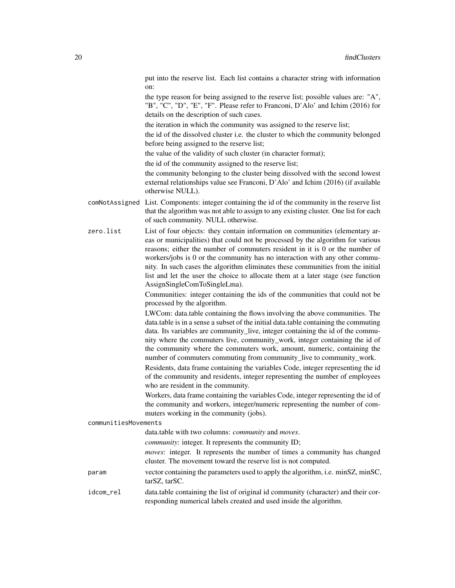put into the reserve list. Each list contains a character string with information on:

the type reason for being assigned to the reserve list; possible values are: "A", "B", "C", "D", "E", "F". Please refer to Franconi, D'Alo' and Ichim (2016) for details on the description of such cases.

the iteration in which the community was assigned to the reserve list;

the id of the dissolved cluster i.e. the cluster to which the community belonged before being assigned to the reserve list;

the value of the validity of such cluster (in character format);

the id of the community assigned to the reserve list;

the community belonging to the cluster being dissolved with the second lowest external relationships value see Franconi, D'Alo' and Ichim (2016) (if available otherwise NULL).

- comNotAssigned List. Components: integer containing the id of the community in the reserve list that the algorithm was not able to assign to any existing cluster. One list for each of such community. NULL otherwise.
- zero.list List of four objects: they contain information on communities (elementary areas or municipalities) that could not be processed by the algorithm for various reasons; either the number of commuters resident in it is 0 or the number of workers/jobs is 0 or the community has no interaction with any other community. In such cases the algorithm eliminates these communities from the initial list and let the user the choice to allocate them at a later stage (see function AssignSingleComToSingleLma).

Communities: integer containing the ids of the communities that could not be processed by the algorithm.

LWCom: data.table containing the flows involving the above communities. The data.table is in a sense a subset of the initial data.table containing the commuting data. Its variables are community\_live, integer containing the id of the community where the commuters live, community\_work, integer containing the id of the community where the commuters work, amount, numeric, containing the number of commuters commuting from community\_live to community\_work.

Residents, data frame containing the variables Code, integer representing the id of the community and residents, integer representing the number of employees who are resident in the community.

Workers, data frame containing the variables Code, integer representing the id of the community and workers, integer/numeric representing the number of commuters working in the community (jobs).

#### communitiesMovements

|           | data.table with two columns: <i>community</i> and <i>moves</i> .                                                                                          |
|-----------|-----------------------------------------------------------------------------------------------------------------------------------------------------------|
|           | <i>community:</i> integer. It represents the community ID;                                                                                                |
|           | <i>moves:</i> integer. It represents the number of times a community has changed<br>cluster. The movement toward the reserve list is not computed.        |
| param     | vector containing the parameters used to apply the algorithm, <i>i.e.</i> minSZ, minSC,<br>$\text{tar}$ SZ, $\text{tar}$ SC.                              |
| idcom rel | data, table containing the list of original id community (character) and their cor-<br>responding numerical labels created and used inside the algorithm. |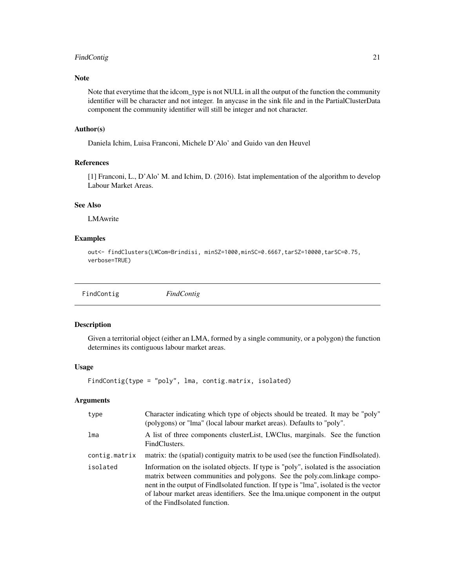# <span id="page-20-0"></span>FindContig 21

# Note

Note that everytime that the idcom\_type is not NULL in all the output of the function the community identifier will be character and not integer. In anycase in the sink file and in the PartialClusterData component the community identifier will still be integer and not character.

#### Author(s)

Daniela Ichim, Luisa Franconi, Michele D'Alo' and Guido van den Heuvel

# References

[1] Franconi, L., D'Alo' M. and Ichim, D. (2016). Istat implementation of the algorithm to develop Labour Market Areas.

#### See Also

LMAwrite

#### Examples

```
out<- findClusters(LWCom=Brindisi, minSZ=1000,minSC=0.6667,tarSZ=10000,tarSC=0.75,
verbose=TRUE)
```

| FindContig | FindContig |
|------------|------------|
|            |            |

#### Description

Given a territorial object (either an LMA, formed by a single community, or a polygon) the function determines its contiguous labour market areas.

# Usage

FindContig(type = "poly", lma, contig.matrix, isolated)

# Arguments

| type          | Character indicating which type of objects should be treated. It may be "poly"<br>(polygons) or "lma" (local labour market areas). Defaults to "poly".                                                                                                                                                                                                                      |
|---------------|-----------------------------------------------------------------------------------------------------------------------------------------------------------------------------------------------------------------------------------------------------------------------------------------------------------------------------------------------------------------------------|
| lma           | A list of three components cluster List, LWClus, marginals. See the function<br>FindClusters.                                                                                                                                                                                                                                                                               |
| contig.matrix | matrix: the (spatial) contiguity matrix to be used (see the function FindIsolated).                                                                                                                                                                                                                                                                                         |
| isolated      | Information on the isolated objects. If type is "poly", isolated is the association<br>matrix between communities and polygons. See the poly.com.linkage compo-<br>nent in the output of FindIsolated function. If type is "lma", isolated is the vector<br>of labour market areas identifiers. See the lma.unique component in the output<br>of the FindIsolated function. |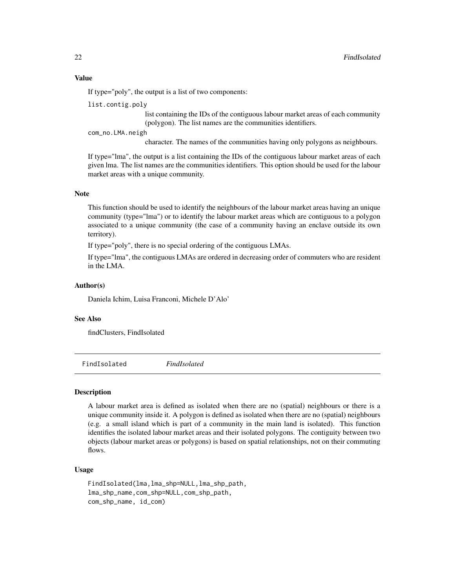# <span id="page-21-0"></span>Value

If type="poly", the output is a list of two components:

```
list.contig.poly
```
list containing the IDs of the contiguous labour market areas of each community (polygon). The list names are the communities identifiers.

com\_no.LMA.neigh

character. The names of the communities having only polygons as neighbours.

If type="lma", the output is a list containing the IDs of the contiguous labour market areas of each given lma. The list names are the communities identifiers. This option should be used for the labour market areas with a unique community.

# Note

This function should be used to identify the neighbours of the labour market areas having an unique community (type="lma") or to identify the labour market areas which are contiguous to a polygon associated to a unique community (the case of a community having an enclave outside its own territory).

If type="poly", there is no special ordering of the contiguous LMAs.

If type="lma", the contiguous LMAs are ordered in decreasing order of commuters who are resident in the LMA.

#### Author(s)

Daniela Ichim, Luisa Franconi, Michele D'Alo'

# See Also

findClusters, FindIsolated

FindIsolated *FindIsolated*

# Description

A labour market area is defined as isolated when there are no (spatial) neighbours or there is a unique community inside it. A polygon is defined as isolated when there are no (spatial) neighbours (e.g. a small island which is part of a community in the main land is isolated). This function identifies the isolated labour market areas and their isolated polygons. The contiguity between two objects (labour market areas or polygons) is based on spatial relationships, not on their commuting flows.

# Usage

```
FindIsolated(lma,lma_shp=NULL,lma_shp_path,
lma_shp_name,com_shp=NULL,com_shp_path,
com_shp_name, id_com)
```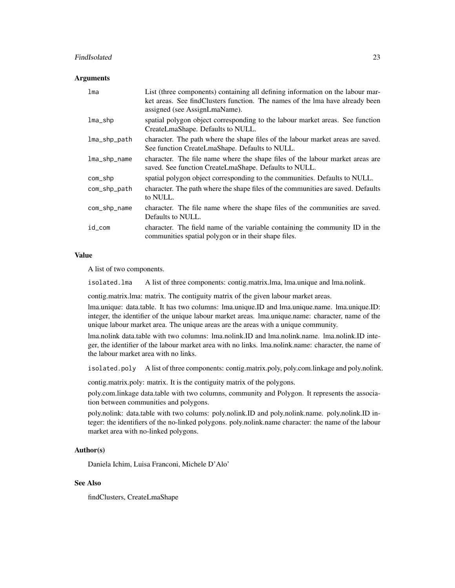#### FindIsolated 23

#### **Arguments**

| lma          | List (three components) containing all defining information on the labour mar-<br>ket areas. See findClusters function. The names of the lma have already been<br>assigned (see AssignLmaName). |
|--------------|-------------------------------------------------------------------------------------------------------------------------------------------------------------------------------------------------|
| lma_shp      | spatial polygon object corresponding to the labour market areas. See function<br>CreateLmaShape. Defaults to NULL.                                                                              |
| lma_shp_path | character. The path where the shape files of the labour market areas are saved.<br>See function CreateLmaShape. Defaults to NULL.                                                               |
| lma_shp_name | character. The file name where the shape files of the labour market areas are<br>saved. See function CreateLmaShape. Defaults to NULL.                                                          |
| com_shp      | spatial polygon object corresponding to the communities. Defaults to NULL.                                                                                                                      |
| com_shp_path | character. The path where the shape files of the communities are saved. Defaults<br>to NULL.                                                                                                    |
| com_shp_name | character. The file name where the shape files of the communities are saved.<br>Defaults to NULL.                                                                                               |
| id_com       | character. The field name of the variable containing the community ID in the<br>communities spatial polygon or in their shape files.                                                            |

# Value

A list of two components.

isolated.lma A list of three components: contig.matrix.lma, lma.unique and lma.nolink.

contig.matrix.lma: matrix. The contiguity matrix of the given labour market areas.

lma.unique: data.table. It has two columns: lma.unique.ID and lma.unique.name. lma.unique.ID: integer, the identifier of the unique labour market areas. lma.unique.name: character, name of the unique labour market area. The unique areas are the areas with a unique community.

lma.nolink data.table with two columns: lma.nolink.ID and lma.nolink.name. lma.nolink.ID integer, the identifier of the labour market area with no links. lma.nolink.name: character, the name of the labour market area with no links.

isolated.poly A list of three components: contig.matrix.poly, poly.com.linkage and poly.nolink.

contig.matrix.poly: matrix. It is the contiguity matrix of the polygons.

poly.com.linkage data.table with two columns, community and Polygon. It represents the association between communities and polygons.

poly.nolink: data.table with two colums: poly.nolink.ID and poly.nolink.name. poly.nolink.ID integer: the identifiers of the no-linked polygons. poly.nolink.name character: the name of the labour market area with no-linked polygons.

#### Author(s)

Daniela Ichim, Luisa Franconi, Michele D'Alo'

# See Also

findClusters, CreateLmaShape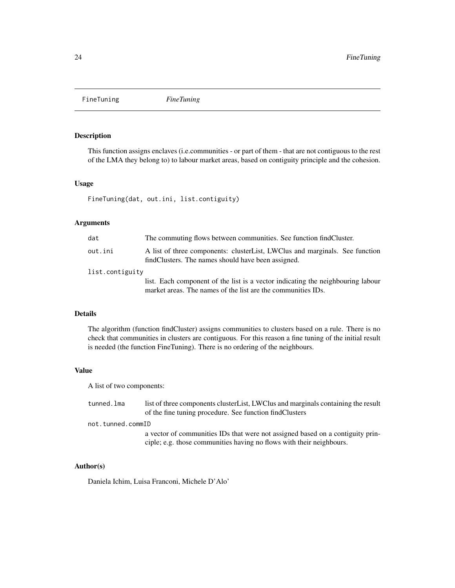<span id="page-23-0"></span>FineTuning *FineTuning*

# Description

This function assigns enclaves (i.e.communities - or part of them - that are not contiguous to the rest of the LMA they belong to) to labour market areas, based on contiguity principle and the cohesion.

#### Usage

FineTuning(dat, out.ini, list.contiguity)

# Arguments

| dat             | The commuting flows between communities. See function findCluster.                                                                 |
|-----------------|------------------------------------------------------------------------------------------------------------------------------------|
| out.ini         | A list of three components: clusterList, LWClus and marginals. See function<br>find Clusters. The names should have been assigned. |
| list.contiguity |                                                                                                                                    |
|                 | list. Each component of the list is a vector indicating the neighbouring labour                                                    |
|                 | market areas. The names of the list are the communities IDs.                                                                       |

# Details

The algorithm (function findCluster) assigns communities to clusters based on a rule. There is no check that communities in clusters are contiguous. For this reason a fine tuning of the initial result is needed (the function FineTuning). There is no ordering of the neighbours.

#### Value

A list of two components:

| tunned.lma        | list of three components cluster List, LWClus and marginals containing the result<br>of the fine tuning procedure. See function find Clusters          |
|-------------------|--------------------------------------------------------------------------------------------------------------------------------------------------------|
| not.tunned.commID |                                                                                                                                                        |
|                   | a vector of communities IDs that were not assigned based on a contiguity prin-<br>ciple; e.g. those communities having no flows with their neighbours. |

#### Author(s)

Daniela Ichim, Luisa Franconi, Michele D'Alo'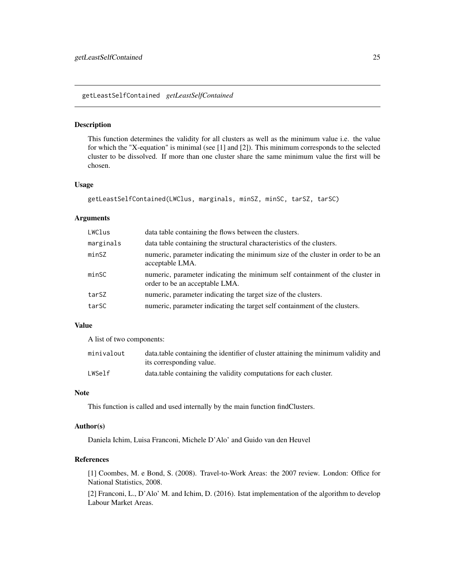<span id="page-24-0"></span>getLeastSelfContained *getLeastSelfContained*

#### Description

This function determines the validity for all clusters as well as the minimum value i.e. the value for which the "X-equation" is minimal (see [1] and [2]). This minimum corresponds to the selected cluster to be dissolved. If more than one cluster share the same minimum value the first will be chosen.

# Usage

```
getLeastSelfContained(LWClus, marginals, minSZ, minSC, tarSZ, tarSC)
```
#### Arguments

| LWClus    | data table containing the flows between the clusters.                                                          |
|-----------|----------------------------------------------------------------------------------------------------------------|
| marginals | data table containing the structural characteristics of the clusters.                                          |
| minSZ     | numeric, parameter indicating the minimum size of the cluster in order to be an<br>acceptable LMA.             |
| minSC     | numeric, parameter indicating the minimum self containment of the cluster in<br>order to be an acceptable LMA. |
| tarSZ     | numeric, parameter indicating the target size of the clusters.                                                 |
| tarSC     | numeric, parameter indicating the target self containment of the clusters.                                     |

#### Value

A list of two components:

| minivalout | data, table containing the identifier of cluster attaining the minimum validity and |
|------------|-------------------------------------------------------------------------------------|
|            | its corresponding value.                                                            |
| LWSelf     | data, table containing the validity computations for each cluster.                  |

# Note

This function is called and used internally by the main function findClusters.

#### Author(s)

Daniela Ichim, Luisa Franconi, Michele D'Alo' and Guido van den Heuvel

# References

[1] Coombes, M. e Bond, S. (2008). Travel-to-Work Areas: the 2007 review. London: Office for National Statistics, 2008.

[2] Franconi, L., D'Alo' M. and Ichim, D. (2016). Istat implementation of the algorithm to develop Labour Market Areas.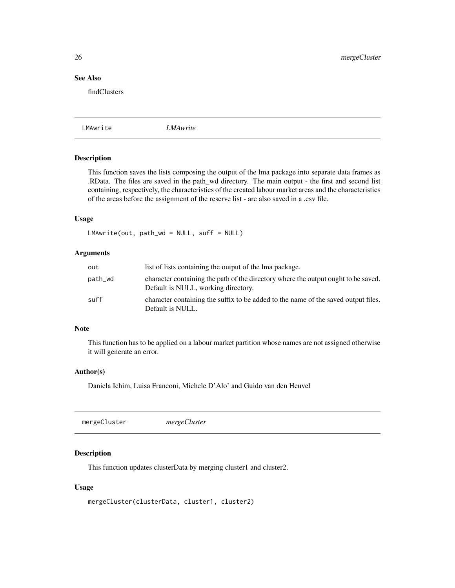# <span id="page-25-0"></span>See Also

findClusters

LMAwrite *LMAwrite*

# Description

This function saves the lists composing the output of the lma package into separate data frames as .RData. The files are saved in the path\_wd directory. The main output - the first and second list containing, respectively, the characteristics of the created labour market areas and the characteristics of the areas before the assignment of the reserve list - are also saved in a .csv file.

#### Usage

LMAwrite(out, path\_wd = NULL, suff = NULL)

# Arguments

| out     | list of lists containing the output of the lma package.                                                                   |
|---------|---------------------------------------------------------------------------------------------------------------------------|
| path_wd | character containing the path of the directory where the output ought to be saved.<br>Default is NULL, working directory. |
| suff    | character containing the suffix to be added to the name of the saved output files.<br>Default is NULL.                    |

#### Note

This function has to be applied on a labour market partition whose names are not assigned otherwise it will generate an error.

#### Author(s)

Daniela Ichim, Luisa Franconi, Michele D'Alo' and Guido van den Heuvel

mergeCluster *mergeCluster*

# Description

This function updates clusterData by merging cluster1 and cluster2.

#### Usage

```
mergeCluster(clusterData, cluster1, cluster2)
```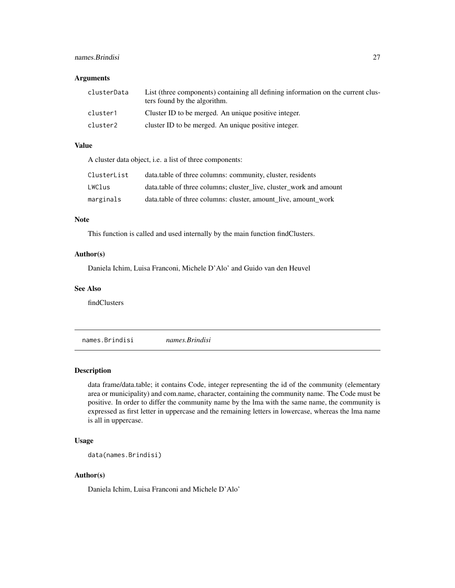# <span id="page-26-0"></span>names.Brindisi 27

# Arguments

| clusterData | List (three components) containing all defining information on the current clus-<br>ters found by the algorithm. |
|-------------|------------------------------------------------------------------------------------------------------------------|
| cluster1    | Cluster ID to be merged. An unique positive integer.                                                             |
| cluster2    | cluster ID to be merged. An unique positive integer.                                                             |

# Value

A cluster data object, i.e. a list of three components:

| ClusterList | data.table of three columns: community, cluster, residents         |
|-------------|--------------------------------------------------------------------|
| LWClus      | data.table of three columns; cluster live, cluster work and amount |
| marginals   | data, table of three columns: cluster, amount live, amount work    |

# Note

This function is called and used internally by the main function findClusters.

#### Author(s)

Daniela Ichim, Luisa Franconi, Michele D'Alo' and Guido van den Heuvel

# See Also

findClusters

names.Brindisi *names.Brindisi*

#### Description

data frame/data.table; it contains Code, integer representing the id of the community (elementary area or municipality) and com.name, character, containing the community name. The Code must be positive. In order to differ the community name by the lma with the same name, the community is expressed as first letter in uppercase and the remaining letters in lowercase, whereas the lma name is all in uppercase.

### Usage

```
data(names.Brindisi)
```
# Author(s)

Daniela Ichim, Luisa Franconi and Michele D'Alo'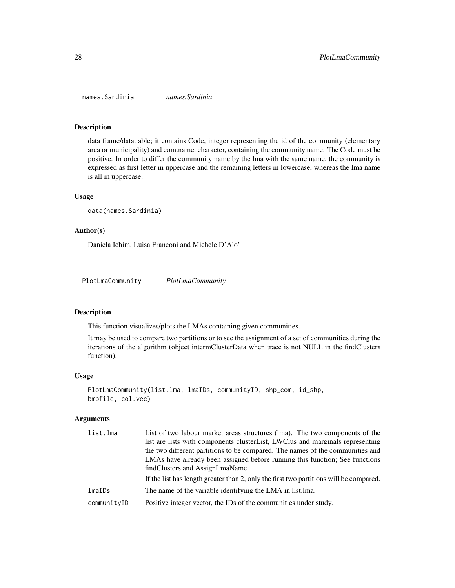<span id="page-27-0"></span>names.Sardinia *names.Sardinia*

#### Description

data frame/data.table; it contains Code, integer representing the id of the community (elementary area or municipality) and com.name, character, containing the community name. The Code must be positive. In order to differ the community name by the lma with the same name, the community is expressed as first letter in uppercase and the remaining letters in lowercase, whereas the lma name is all in uppercase.

#### Usage

```
data(names.Sardinia)
```
#### Author(s)

Daniela Ichim, Luisa Franconi and Michele D'Alo'

PlotLmaCommunity *PlotLmaCommunity*

#### Description

This function visualizes/plots the LMAs containing given communities.

It may be used to compare two partitions or to see the assignment of a set of communities during the iterations of the algorithm (object intermClusterData when trace is not NULL in the findClusters function).

#### Usage

```
PlotLmaCommunity(list.lma, lmaIDs, communityID, shp_com, id_shp,
bmpfile, col.vec)
```
#### Arguments

| list.lma    | List of two labour market areas structures (lma). The two components of the            |
|-------------|----------------------------------------------------------------------------------------|
|             | list are lists with components cluster List, LWClus and marginals representing         |
|             | the two different partitions to be compared. The names of the communities and          |
|             | LMAs have already been assigned before running this function; See functions            |
|             | findClusters and AssignLmaName.                                                        |
|             | If the list has length greater than 2, only the first two partitions will be compared. |
| lmaIDs      | The name of the variable identifying the LMA in list. Ima.                             |
| communityID | Positive integer vector, the IDs of the communities under study.                       |
|             |                                                                                        |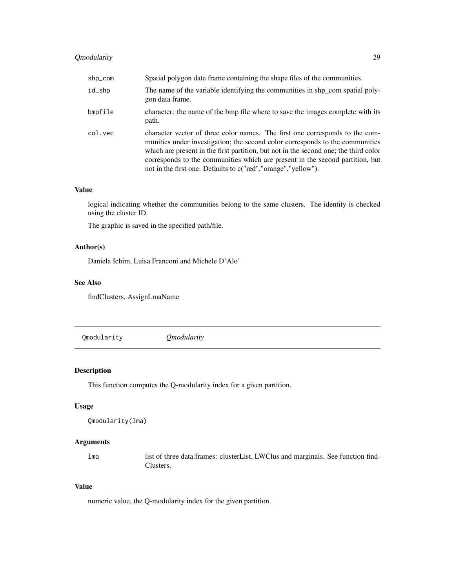# <span id="page-28-0"></span>Qmodularity 29

| shp_com | Spatial polygon data frame containing the shape files of the communities.                                                                                                                                                                                                                                                                                                                               |
|---------|---------------------------------------------------------------------------------------------------------------------------------------------------------------------------------------------------------------------------------------------------------------------------------------------------------------------------------------------------------------------------------------------------------|
| id_shp  | The name of the variable identifying the communities in shp_com spatial poly-<br>gon data frame.                                                                                                                                                                                                                                                                                                        |
| bmpfile | character: the name of the bmp file where to save the images complete with its<br>path.                                                                                                                                                                                                                                                                                                                 |
| col.vec | character vector of three color names. The first one corresponds to the com-<br>munities under investigation; the second color corresponds to the communities<br>which are present in the first partition, but not in the second one; the third color<br>corresponds to the communities which are present in the second partition, but<br>not in the first one. Defaults to c("red","orange","yellow"). |

#### Value

logical indicating whether the communities belong to the same clusters. The identity is checked using the cluster ID.

The graphic is saved in the specified path/file.

#### Author(s)

Daniela Ichim, Luisa Franconi and Michele D'Alo'

# See Also

findClusters, AssignLmaName

Qmodularity *Qmodularity*

#### Description

This function computes the Q-modularity index for a given partition.

# Usage

```
Qmodularity(lma)
```
## Arguments

lma list of three data.frames: clusterList, LWClus and marginals. See function find-Clusters.

# Value

numeric value, the Q-modularity index for the given partition.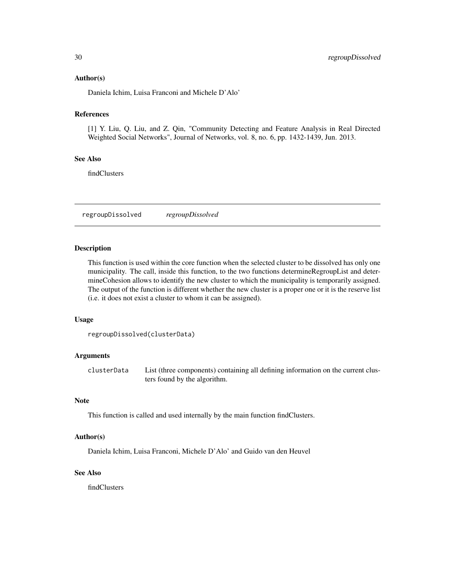#### <span id="page-29-0"></span>Author(s)

Daniela Ichim, Luisa Franconi and Michele D'Alo'

# References

[1] Y. Liu, Q. Liu, and Z. Qin, "Community Detecting and Feature Analysis in Real Directed Weighted Social Networks", Journal of Networks, vol. 8, no. 6, pp. 1432-1439, Jun. 2013.

# See Also

findClusters

regroupDissolved *regroupDissolved*

#### Description

This function is used within the core function when the selected cluster to be dissolved has only one municipality. The call, inside this function, to the two functions determineRegroupList and determineCohesion allows to identify the new cluster to which the municipality is temporarily assigned. The output of the function is different whether the new cluster is a proper one or it is the reserve list (i.e. it does not exist a cluster to whom it can be assigned).

#### Usage

```
regroupDissolved(clusterData)
```
#### Arguments

clusterData List (three components) containing all defining information on the current clusters found by the algorithm.

# Note

This function is called and used internally by the main function findClusters.

#### Author(s)

Daniela Ichim, Luisa Franconi, Michele D'Alo' and Guido van den Heuvel

# See Also

findClusters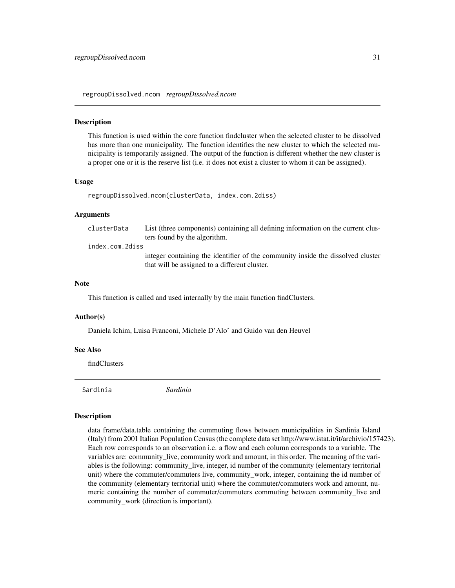<span id="page-30-0"></span>regroupDissolved.ncom *regroupDissolved.ncom*

#### **Description**

This function is used within the core function findcluster when the selected cluster to be dissolved has more than one municipality. The function identifies the new cluster to which the selected municipality is temporarily assigned. The output of the function is different whether the new cluster is a proper one or it is the reserve list (i.e. it does not exist a cluster to whom it can be assigned).

#### Usage

```
regroupDissolved.ncom(clusterData, index.com.2diss)
```
#### Arguments

clusterData List (three components) containing all defining information on the current clusters found by the algorithm. index.com.2diss

integer containing the identifier of the community inside the dissolved cluster that will be assigned to a different cluster.

#### Note

This function is called and used internally by the main function findClusters.

#### Author(s)

Daniela Ichim, Luisa Franconi, Michele D'Alo' and Guido van den Heuvel

#### See Also

findClusters

Sardinia *Sardinia*

#### Description

data frame/data.table containing the commuting flows between municipalities in Sardinia Island (Italy) from 2001 Italian Population Census (the complete data set http://www.istat.it/it/archivio/157423). Each row corresponds to an observation i.e. a flow and each column corresponds to a variable. The variables are: community\_live, community work and amount, in this order. The meaning of the variables is the following: community\_live, integer, id number of the community (elementary territorial unit) where the commuter/commuters live, community\_work, integer, containing the id number of the community (elementary territorial unit) where the commuter/commuters work and amount, numeric containing the number of commuter/commuters commuting between community live and community\_work (direction is important).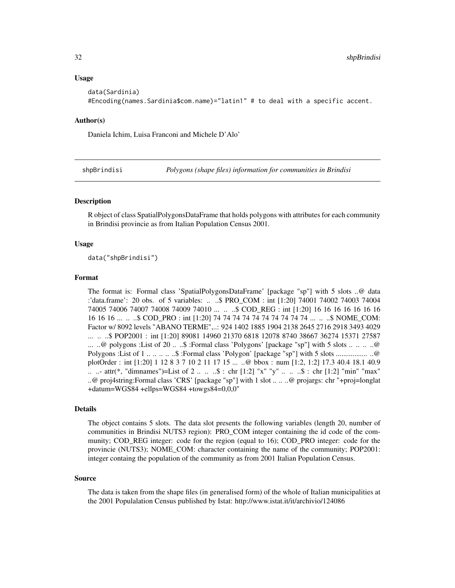#### <span id="page-31-0"></span>Usage

```
data(Sardinia)
#Encoding(names.Sardinia$com.name)="latin1" # to deal with a specific accent.
```
#### Author(s)

Daniela Ichim, Luisa Franconi and Michele D'Alo'

shpBrindisi *Polygons (shape files) information for communities in Brindisi*

#### Description

R object of class SpatialPolygonsDataFrame that holds polygons with attributes for each community in Brindisi provincie as from Italian Population Census 2001.

#### Usage

data("shpBrindisi")

#### Format

The format is: Formal class 'SpatialPolygonsDataFrame' [package "sp"] with 5 slots ..@ data :'data.frame': 20 obs. of 5 variables: .. ..\$ PRO\_COM : int [1:20] 74001 74002 74003 74004 74005 74006 74007 74008 74009 74010 ... .. ..\$ COD\_REG : int [1:20] 16 16 16 16 16 16 16 16 16 16 ... .. ..\$ COD\_PRO : int [1:20] 74 74 74 74 74 74 74 74 74 74 ... .. ..\$ NOME\_COM: Factor w/ 8092 levels "ABANO TERME",..: 924 1402 1885 1904 2138 2645 2716 2918 3493 4029 ... .. ..\$ POP2001 : int [1:20] 89081 14960 21370 6818 12078 8740 38667 36274 15371 27587 ... ..@ polygons :List of 20 ... ..\$ :Formal class 'Polygons' [package "sp"] with 5 slots .. .. .. ..@ Polygons :List of 1 .. .. .. .. ..\$ :Formal class 'Polygon' [package "sp"] with 5 slots ................. ..@ plotOrder : int [1:20] 1 12 8 3 7 10 2 11 17 15 ... ..@ bbox : num [1:2, 1:2] 17.3 40.4 18.1 40.9 .. ..- attr(\*, "dimnames")=List of 2 .. .. ..\$ : chr [1:2] "x" "y" .. .. ..\$ : chr [1:2] "min" "max" ..@ proj4string:Formal class 'CRS' [package "sp"] with 1 slot .. .. ..@ projargs: chr "+proj=longlat +datum=WGS84 +ellps=WGS84 +towgs84=0,0,0"

#### Details

The object contains 5 slots. The data slot presents the following variables (length 20, number of communities in Brindisi NUTS3 region): PRO\_COM integer containing the id code of the community; COD\_REG integer: code for the region (equal to 16); COD\_PRO integer: code for the provincie (NUTS3); NOME\_COM: character containing the name of the community; POP2001: integer containg the population of the community as from 2001 Italian Population Census.

#### Source

The data is taken from the shape files (in generalised form) of the whole of Italian municipalities at the 2001 Populalation Census published by Istat: http://www.istat.it/it/archivio/124086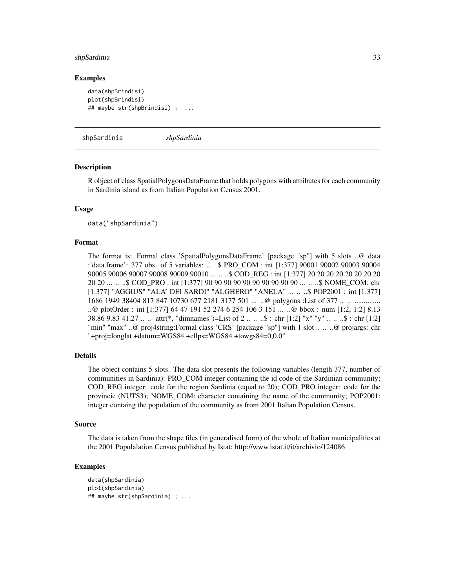#### <span id="page-32-0"></span>shpSardinia 33

#### Examples

```
data(shpBrindisi)
plot(shpBrindisi)
## maybe str(shpBrindisi) ; ...
```
shpSardinia *shpSardinia*

#### Description

R object of class SpatialPolygonsDataFrame that holds polygons with attributes for each community in Sardinia island as from Italian Population Census 2001.

#### Usage

data("shpSardinia")

#### Format

The format is: Formal class 'SpatialPolygonsDataFrame' [package "sp"] with 5 slots ..@ data :'data.frame': 377 obs. of 5 variables: .. ..\$ PRO\_COM : int [1:377] 90001 90002 90003 90004 90005 90006 90007 90008 90009 90010 ... .. ..\$ COD\_REG : int [1:377] 20 20 20 20 20 20 20 20 20 20 ... .. ..\$ COD\_PRO : int [1:377] 90 90 90 90 90 90 90 90 90 90 ... .. ..\$ NOME\_COM: chr [1:377] "AGGIUS" "ALA' DEI SARDI" "ALGHERO" "ANELA" ... .. ..\$ POP2001 : int [1:377] 1686 1949 38404 817 847 10730 677 2181 3177 501 ... ..@ polygons :List of 377 ... .. .............. ..@ plotOrder : int [1:377] 64 47 191 52 274 6 254 106 3 151 ... ..@ bbox : num [1:2, 1:2] 8.13 38.86 9.83 41.27 .. ..- attr(\*, "dimnames")=List of 2 .. .. ..\$ : chr [1:2] "x" "y" .. .. ..\$ : chr [1:2] "min" "max" ..@ proj4string:Formal class 'CRS' [package "sp"] with 1 slot .. .. ..@ projargs: chr "+proj=longlat +datum=WGS84 +ellps=WGS84 +towgs84=0,0,0"

#### Details

The object contains 5 slots. The data slot presents the following variables (length 377, number of communities in Sardinia): PRO\_COM integer containing the id code of the Sardinian community; COD\_REG integer: code for the region Sardinia (equal to 20); COD\_PRO integer: code for the provincie (NUTS3); NOME\_COM: character containing the name of the community; POP2001: integer containg the population of the community as from 2001 Italian Population Census.

#### Source

The data is taken from the shape files (in generalised form) of the whole of Italian municipalities at the 2001 Populalation Census published by Istat: http://www.istat.it/it/archivio/124086

#### Examples

```
data(shpSardinia)
plot(shpSardinia)
## maybe str(shpSardinia) ; ...
```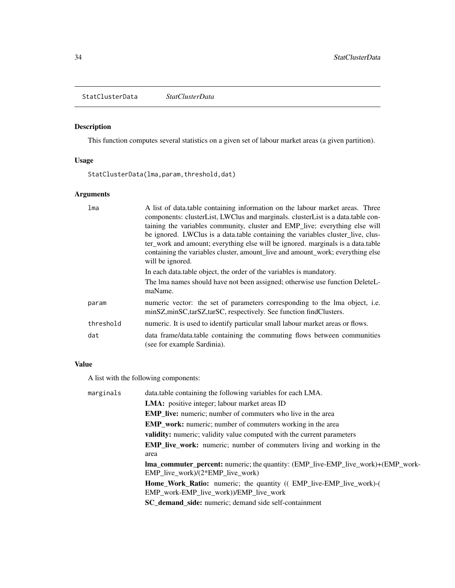<span id="page-33-0"></span>StatClusterData *StatClusterData*

# Description

This function computes several statistics on a given set of labour market areas (a given partition).

# Usage

StatClusterData(lma,param,threshold,dat)

# Arguments

| A list of data table containing information on the labour market areas. Three<br>components: clusterList, LWClus and marginals. clusterList is a data.table con-<br>taining the variables community, cluster and EMP_live; everything else will<br>be ignored. LWClus is a data table containing the variables cluster_live, clus-<br>ter_work and amount; everything else will be ignored. marginals is a data.table<br>containing the variables cluster, amount_live and amount_work; everything else<br>will be ignored. |
|-----------------------------------------------------------------------------------------------------------------------------------------------------------------------------------------------------------------------------------------------------------------------------------------------------------------------------------------------------------------------------------------------------------------------------------------------------------------------------------------------------------------------------|
| In each data table object, the order of the variables is mandatory.                                                                                                                                                                                                                                                                                                                                                                                                                                                         |
| The Ima names should have not been assigned; otherwise use function DeleteL-<br>maName.                                                                                                                                                                                                                                                                                                                                                                                                                                     |
| numeric vector: the set of parameters corresponding to the lma object, i.e.<br>minSZ, minSC, tarSZ, tarSC, respectively. See function findClusters.                                                                                                                                                                                                                                                                                                                                                                         |
| numeric. It is used to identify particular small labour market areas or flows.                                                                                                                                                                                                                                                                                                                                                                                                                                              |
| data frame/data.table containing the commuting flows between communities<br>(see for example Sardinia).                                                                                                                                                                                                                                                                                                                                                                                                                     |
|                                                                                                                                                                                                                                                                                                                                                                                                                                                                                                                             |

# Value

A list with the following components:

| data.table containing the following variables for each LMA.                                                                    |
|--------------------------------------------------------------------------------------------------------------------------------|
| <b>LMA</b> : positive integer; labour market areas ID                                                                          |
| <b>EMP</b> live: numeric; number of commuters who live in the area                                                             |
| <b>EMP_work:</b> numeric; number of commuters working in the area                                                              |
| <b>validity:</b> numeric; validity value computed with the current parameters                                                  |
| <b>EMP_live_work:</b> numeric; number of commuters living and working in the                                                   |
| area                                                                                                                           |
| <b>lma_commuter_percent:</b> numeric; the quantity: (EMP_live-EMP_live_work)+(EMP_work-<br>EMP live work $/(2*EMP)$ live work) |
| Home_Work_Ratio: numeric; the quantity ((EMP_live-EMP_live_work)-(                                                             |
| EMP_work-EMP_live_work))/EMP_live_work                                                                                         |
| <b>SC_demand_side:</b> numeric; demand side self-containment                                                                   |
|                                                                                                                                |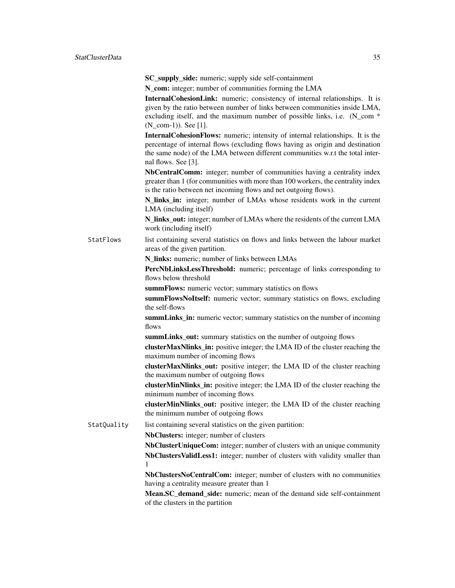SC\_supply\_side: numeric; supply side self-containment

N com: integer; number of communities forming the LMA

InternalCohesionLink: numeric; consistency of internal relationships. It is given by the ratio between number of links between communities inside LMA, excluding itself, and the maximum number of possible links, i.e. (N\_com \* (N\_com-1)). See [1].

InternalCohesionFlows: numeric; intensity of internal relationships. It is the percentage of internal flows (excluding flows having as origin and destination the same node) of the LMA between different communities w.r.t the total internal flows. See [3].

NbCentralComm: integer; number of communities having a centrality index greater than 1 (for communities with more than 100 workers, the centrality index is the ratio between net incoming flows and net outgoing flows).

N links in: integer; number of LMAs whose residents work in the current LMA (including itself)

N links out: integer; number of LMAs where the residents of the current LMA work (including itself)

StatFlows list containing several statistics on flows and links between the labour market areas of the given partition.

N links: numeric; number of links between LMAs

PercNbLinksLessThreshold: numeric; percentage of links corresponding to flows below threshold

summFlows: numeric vector; summary statistics on flows

summFlowsNoItself: numeric vector; summary statistics on flows, excluding the self-flows

summLinks\_in: numeric vector; summary statistics on the number of incoming flows

summLinks out: summary statistics on the number of outgoing flows

clusterMaxNlinks\_in: positive integer; the LMA ID of the cluster reaching the maximum number of incoming flows

clusterMaxNlinks\_out: positive integer; the LMA ID of the cluster reaching the maximum number of outgoing flows

clusterMinNlinks\_in: positive integer; the LMA ID of the cluster reaching the minimum number of incoming flows

clusterMinNlinks\_out: positive integer; the LMA ID of the cluster reaching the minimum number of outgoing flows

StatQuality list containing several statistics on the given partition:

NbClusters: integer; number of clusters

NbClusterUniqueCom: integer; number of clusters with an unique community NbClustersValidLess1: integer; number of clusters with validity smaller than 1

NbClustersNoCentralCom: integer; number of clusters with no communities having a centrality measure greater than 1

Mean.SC demand side: numeric; mean of the demand side self-containment of the clusters in the partition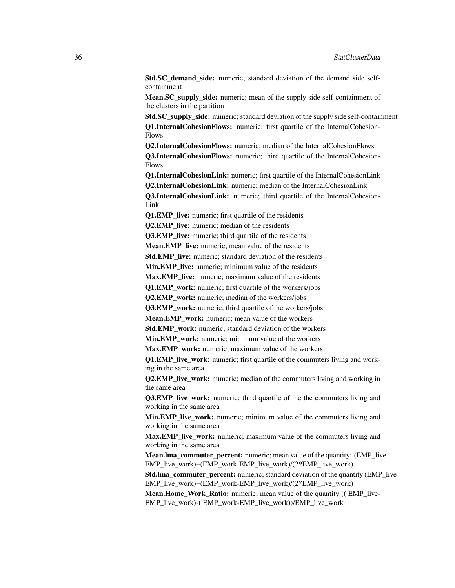Std.SC\_demand\_side: numeric; standard deviation of the demand side selfcontainment

Mean.SC\_supply\_side: numeric; mean of the supply side self-containment of the clusters in the partition

Std.SC\_supply\_side: numeric; standard deviation of the supply side self-containment

Q1.InternalCohesionFlows: numeric; first quartile of the InternalCohesion-Flows

Q2.InternalCohesionFlows: numeric; median of the InternalCohesionFlows

Q3.InternalCohesionFlows: numeric; third quartile of the InternalCohesion-Flows

Q1.InternalCohesionLink: numeric; first quartile of the InternalCohesionLink

Q2.InternalCohesionLink: numeric; median of the InternalCohesionLink

Q3.InternalCohesionLink: numeric; third quartile of the InternalCohesion-Link

Q1.EMP\_live: numeric; first quartile of the residents

Q2.EMP live: numeric; median of the residents

Q3.EMP live: numeric; third quartile of the residents

Mean.EMP live: numeric; mean value of the residents

Std.EMP live: numeric; standard deviation of the residents

Min.EMP live: numeric; minimum value of the residents

Max.EMP\_live: numeric; maximum value of the residents

Q1.EMP\_work: numeric; first quartile of the workers/jobs

Q2.EMP\_work: numeric; median of the workers/jobs

**Q3.EMP** work: numeric; third quartile of the workers/jobs

Mean.EMP\_work: numeric; mean value of the workers

Std.EMP\_work: numeric; standard deviation of the workers

Min.EMP\_work: numeric; minimum value of the workers

Max.EMP\_work: numeric; maximum value of the workers

Q1.EMP\_live\_work: numeric; first quartile of the commuters living and working in the same area

**Q2.EMP** live work: numeric; median of the commuters living and working in the same area

**Q3.EMP** live work: numeric; third quartile of the the commuters living and working in the same area

Min.EMP\_live\_work: numeric; minimum value of the commuters living and working in the same area

Max.EMP\_live\_work: numeric; maximum value of the commuters living and working in the same area

**Mean.lma\_commuter\_percent:** numeric; mean value of the quantity: (EMP\_live-EMP\_live\_work)+(EMP\_work-EMP\_live\_work)/(2\*EMP\_live\_work)

Std.lma\_commuter\_percent: numeric; standard deviation of the quantity (EMP\_live-EMP\_live\_work)+(EMP\_work-EMP\_live\_work)/(2\*EMP\_live\_work)

Mean.Home Work Ratio: numeric; mean value of the quantity (( EMP live-EMP\_live\_work)-( EMP\_work-EMP\_live\_work))/EMP\_live\_work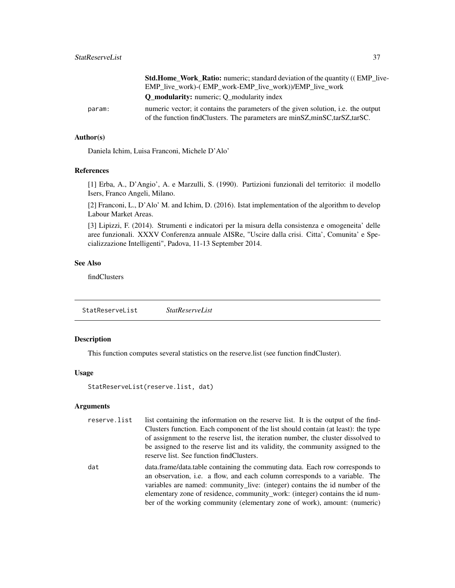<span id="page-36-0"></span>

|        | <b>Std.Home Work Ratio:</b> numeric; standard deviation of the quantity ((EMP live-                                                                                      |
|--------|--------------------------------------------------------------------------------------------------------------------------------------------------------------------------|
|        | EMP_live_work)-(EMP_work-EMP_live_work))/EMP_live_work                                                                                                                   |
|        | <b>Q</b> modularity: numeric; Q modularity index                                                                                                                         |
| param: | numeric vector; it contains the parameters of the given solution, <i>i.e.</i> the output<br>of the function findClusters. The parameters are minSZ, minSC, tarSZ, tarSC. |

#### Author(s)

Daniela Ichim, Luisa Franconi, Michele D'Alo'

## References

[1] Erba, A., D'Angio', A. e Marzulli, S. (1990). Partizioni funzionali del territorio: il modello Isers, Franco Angeli, Milano.

[2] Franconi, L., D'Alo' M. and Ichim, D. (2016). Istat implementation of the algorithm to develop Labour Market Areas.

[3] Lipizzi, F. (2014). Strumenti e indicatori per la misura della consistenza e omogeneita' delle aree funzionali. XXXV Conferenza annuale AISRe, "Uscire dalla crisi. Citta', Comunita' e Specializzazione Intelligenti", Padova, 11-13 September 2014.

#### See Also

findClusters

StatReserveList *StatReserveList*

#### Description

This function computes several statistics on the reserve.list (see function findCluster).

#### Usage

```
StatReserveList(reserve.list, dat)
```
#### Arguments

| Clusters function. Each component of the list should contain (at least): the type |
|-----------------------------------------------------------------------------------|
| of assignment to the reserve list, the iteration number, the cluster dissolved to |
| be assigned to the reserve list and its validity, the community assigned to the   |
|                                                                                   |
|                                                                                   |

dat data.frame/data.table containing the commuting data. Each row corresponds to an observation, i.e. a flow, and each column corresponds to a variable. The variables are named: community\_live: (integer) contains the id number of the elementary zone of residence, community\_work: (integer) contains the id number of the working community (elementary zone of work), amount: (numeric)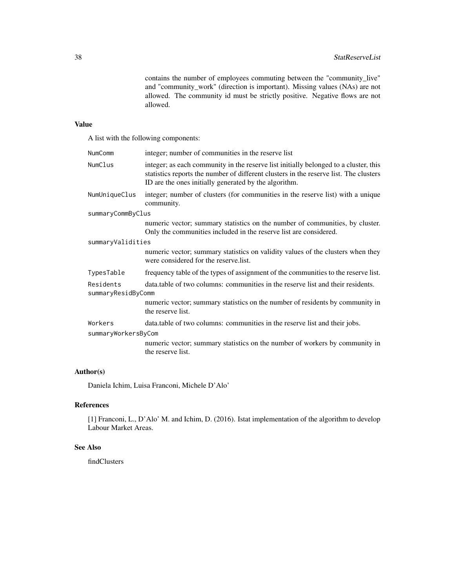contains the number of employees commuting between the "community\_live" and "community\_work" (direction is important). Missing values (NAs) are not allowed. The community id must be strictly positive. Negative flows are not allowed.

# Value

A list with the following components:

| NumComm                         | integer; number of communities in the reserve list                                                                                                                                                                                     |  |
|---------------------------------|----------------------------------------------------------------------------------------------------------------------------------------------------------------------------------------------------------------------------------------|--|
| NumClus                         | integer; as each community in the reserve list initially belonged to a cluster, this<br>statistics reports the number of different clusters in the reserve list. The clusters<br>ID are the ones initially generated by the algorithm. |  |
| NumUniqueClus                   | integer; number of clusters (for communities in the reserve list) with a unique<br>community.                                                                                                                                          |  |
| summaryCommByClus               |                                                                                                                                                                                                                                        |  |
|                                 | numeric vector; summary statistics on the number of communities, by cluster.<br>Only the communities included in the reserve list are considered.                                                                                      |  |
| summaryValidities               |                                                                                                                                                                                                                                        |  |
|                                 | numeric vector; summary statistics on validity values of the clusters when they<br>were considered for the reserve.list.                                                                                                               |  |
| TypesTable                      | frequency table of the types of assignment of the communities to the reserve list.                                                                                                                                                     |  |
| Residents<br>summaryResidByComm | data, table of two columns: communities in the reserve list and their residents.                                                                                                                                                       |  |
|                                 | numeric vector; summary statistics on the number of residents by community in<br>the reserve list.                                                                                                                                     |  |
| Workers                         | data.table of two columns: communities in the reserve list and their jobs.                                                                                                                                                             |  |
| summaryWorkersByCom             |                                                                                                                                                                                                                                        |  |
|                                 | numeric vector; summary statistics on the number of workers by community in<br>the reserve list.                                                                                                                                       |  |

# Author(s)

Daniela Ichim, Luisa Franconi, Michele D'Alo'

## References

[1] Franconi, L., D'Alo' M. and Ichim, D. (2016). Istat implementation of the algorithm to develop Labour Market Areas.

# See Also

findClusters